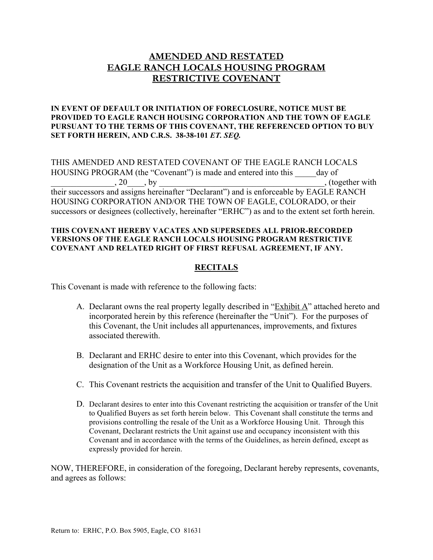# **AMENDED AND RESTATED EAGLE RANCH LOCALS HOUSING PROGRAM RESTRICTIVE COVENANT**

#### **IN EVENT OF DEFAULT OR INITIATION OF FORECLOSURE, NOTICE MUST BE PROVIDED TO EAGLE RANCH HOUSING CORPORATION AND THE TOWN OF EAGLE PURSUANT TO THE TERMS OF THIS COVENANT, THE REFERENCED OPTION TO BUY SET FORTH HEREIN, AND C.R.S. 38-38-101** *ET. SEQ.*

THIS AMENDED AND RESTATED COVENANT OF THE EAGLE RANCH LOCALS HOUSING PROGRAM (the "Covenant") is made and entered into this \_\_\_\_\_day of (together with (for example, 20).  $, 20 \t J,$  by  $,$  together with their successors and assigns hereinafter "Declarant") and is enforceable by EAGLE RANCH HOUSING CORPORATION AND/OR THE TOWN OF EAGLE, COLORADO, or their successors or designees (collectively, hereinafter "ERHC") as and to the extent set forth herein.

#### **THIS COVENANT HEREBY VACATES AND SUPERSEDES ALL PRIOR-RECORDED VERSIONS OF THE EAGLE RANCH LOCALS HOUSING PROGRAM RESTRICTIVE COVENANT AND RELATED RIGHT OF FIRST REFUSAL AGREEMENT, IF ANY.**

### **RECITALS**

This Covenant is made with reference to the following facts:

- A. Declarant owns the real property legally described in "Exhibit A" attached hereto and incorporated herein by this reference (hereinafter the "Unit"). For the purposes of this Covenant, the Unit includes all appurtenances, improvements, and fixtures associated therewith.
- B. Declarant and ERHC desire to enter into this Covenant, which provides for the designation of the Unit as a Workforce Housing Unit, as defined herein.
- C. This Covenant restricts the acquisition and transfer of the Unit to Qualified Buyers.
- D. Declarant desires to enter into this Covenant restricting the acquisition or transfer of the Unit to Qualified Buyers as set forth herein below. This Covenant shall constitute the terms and provisions controlling the resale of the Unit as a Workforce Housing Unit. Through this Covenant, Declarant restricts the Unit against use and occupancy inconsistent with this Covenant and in accordance with the terms of the Guidelines, as herein defined, except as expressly provided for herein.

NOW, THEREFORE, in consideration of the foregoing, Declarant hereby represents, covenants, and agrees as follows: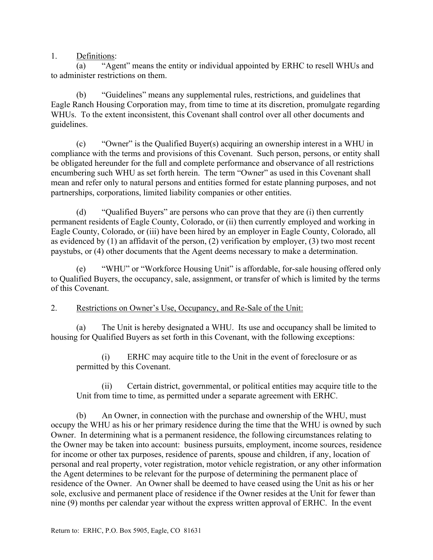1. Definitions:

(a) "Agent" means the entity or individual appointed by ERHC to resell WHUs and to administer restrictions on them.

(b) "Guidelines" means any supplemental rules, restrictions, and guidelines that Eagle Ranch Housing Corporation may, from time to time at its discretion, promulgate regarding WHUs. To the extent inconsistent, this Covenant shall control over all other documents and guidelines.

(c) "Owner" is the Qualified Buyer(s) acquiring an ownership interest in a WHU in compliance with the terms and provisions of this Covenant. Such person, persons, or entity shall be obligated hereunder for the full and complete performance and observance of all restrictions encumbering such WHU as set forth herein. The term "Owner" as used in this Covenant shall mean and refer only to natural persons and entities formed for estate planning purposes, and not partnerships, corporations, limited liability companies or other entities.

(d) "Qualified Buyers" are persons who can prove that they are (i) then currently permanent residents of Eagle County, Colorado, or (ii) then currently employed and working in Eagle County, Colorado, or (iii) have been hired by an employer in Eagle County, Colorado, all as evidenced by (1) an affidavit of the person, (2) verification by employer, (3) two most recent paystubs, or (4) other documents that the Agent deems necessary to make a determination.

(e) "WHU" or "Workforce Housing Unit" is affordable, for-sale housing offered only to Qualified Buyers, the occupancy, sale, assignment, or transfer of which is limited by the terms of this Covenant.

2. Restrictions on Owner's Use, Occupancy, and Re-Sale of the Unit:

(a) The Unit is hereby designated a WHU. Its use and occupancy shall be limited to housing for Qualified Buyers as set forth in this Covenant, with the following exceptions:

(i) ERHC may acquire title to the Unit in the event of foreclosure or as permitted by this Covenant.

(ii) Certain district, governmental, or political entities may acquire title to the Unit from time to time, as permitted under a separate agreement with ERHC.

(b) An Owner, in connection with the purchase and ownership of the WHU, must occupy the WHU as his or her primary residence during the time that the WHU is owned by such Owner. In determining what is a permanent residence, the following circumstances relating to the Owner may be taken into account: business pursuits, employment, income sources, residence for income or other tax purposes, residence of parents, spouse and children, if any, location of personal and real property, voter registration, motor vehicle registration, or any other information the Agent determines to be relevant for the purpose of determining the permanent place of residence of the Owner. An Owner shall be deemed to have ceased using the Unit as his or her sole, exclusive and permanent place of residence if the Owner resides at the Unit for fewer than nine (9) months per calendar year without the express written approval of ERHC. In the event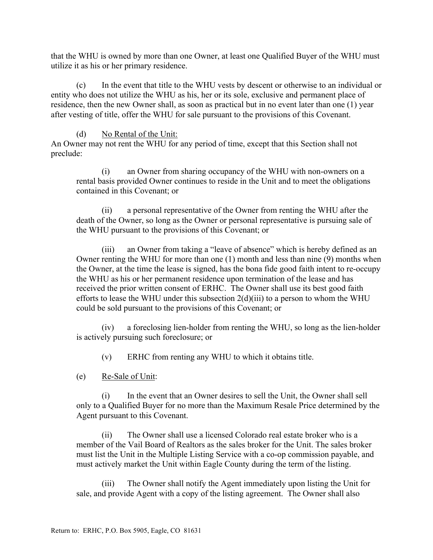that the WHU is owned by more than one Owner, at least one Qualified Buyer of the WHU must utilize it as his or her primary residence.

(c) In the event that title to the WHU vests by descent or otherwise to an individual or entity who does not utilize the WHU as his, her or its sole, exclusive and permanent place of residence, then the new Owner shall, as soon as practical but in no event later than one (1) year after vesting of title, offer the WHU for sale pursuant to the provisions of this Covenant.

### (d) No Rental of the Unit:

An Owner may not rent the WHU for any period of time, except that this Section shall not preclude:

(i) an Owner from sharing occupancy of the WHU with non-owners on a rental basis provided Owner continues to reside in the Unit and to meet the obligations contained in this Covenant; or

(ii) a personal representative of the Owner from renting the WHU after the death of the Owner, so long as the Owner or personal representative is pursuing sale of the WHU pursuant to the provisions of this Covenant; or

(iii) an Owner from taking a "leave of absence" which is hereby defined as an Owner renting the WHU for more than one (1) month and less than nine (9) months when the Owner, at the time the lease is signed, has the bona fide good faith intent to re-occupy the WHU as his or her permanent residence upon termination of the lease and has received the prior written consent of ERHC. The Owner shall use its best good faith efforts to lease the WHU under this subsection  $2(d)(iii)$  to a person to whom the WHU could be sold pursuant to the provisions of this Covenant; or

(iv) a foreclosing lien-holder from renting the WHU, so long as the lien-holder is actively pursuing such foreclosure; or

(v) ERHC from renting any WHU to which it obtains title.

(e) Re-Sale of Unit:

(i) In the event that an Owner desires to sell the Unit, the Owner shall sell only to a Qualified Buyer for no more than the Maximum Resale Price determined by the Agent pursuant to this Covenant.

(ii) The Owner shall use a licensed Colorado real estate broker who is a member of the Vail Board of Realtors as the sales broker for the Unit. The sales broker must list the Unit in the Multiple Listing Service with a co-op commission payable, and must actively market the Unit within Eagle County during the term of the listing.

(iii) The Owner shall notify the Agent immediately upon listing the Unit for sale, and provide Agent with a copy of the listing agreement. The Owner shall also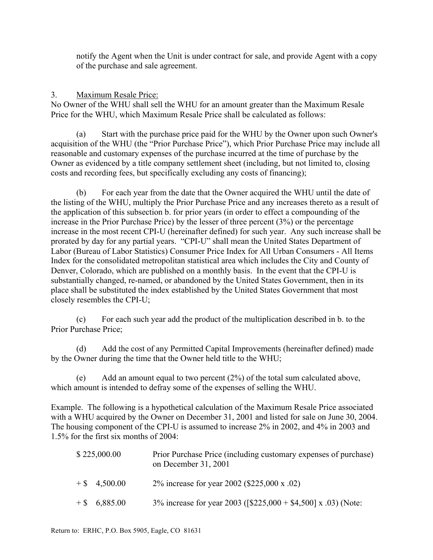notify the Agent when the Unit is under contract for sale, and provide Agent with a copy of the purchase and sale agreement.

### 3. Maximum Resale Price:

No Owner of the WHU shall sell the WHU for an amount greater than the Maximum Resale Price for the WHU, which Maximum Resale Price shall be calculated as follows:

(a) Start with the purchase price paid for the WHU by the Owner upon such Owner's acquisition of the WHU (the "Prior Purchase Price"), which Prior Purchase Price may include all reasonable and customary expenses of the purchase incurred at the time of purchase by the Owner as evidenced by a title company settlement sheet (including, but not limited to, closing costs and recording fees, but specifically excluding any costs of financing);

(b) For each year from the date that the Owner acquired the WHU until the date of the listing of the WHU, multiply the Prior Purchase Price and any increases thereto as a result of the application of this subsection b. for prior years (in order to effect a compounding of the increase in the Prior Purchase Price) by the lesser of three percent (3%) or the percentage increase in the most recent CPI-U (hereinafter defined) for such year. Any such increase shall be prorated by day for any partial years. "CPI-U" shall mean the United States Department of Labor (Bureau of Labor Statistics) Consumer Price Index for All Urban Consumers - All Items Index for the consolidated metropolitan statistical area which includes the City and County of Denver, Colorado, which are published on a monthly basis. In the event that the CPI-U is substantially changed, re-named, or abandoned by the United States Government, then in its place shall be substituted the index established by the United States Government that most closely resembles the CPI-U;

(c) For each such year add the product of the multiplication described in b. to the Prior Purchase Price;

(d) Add the cost of any Permitted Capital Improvements (hereinafter defined) made by the Owner during the time that the Owner held title to the WHU;

(e) Add an amount equal to two percent (2%) of the total sum calculated above, which amount is intended to defray some of the expenses of selling the WHU.

Example. The following is a hypothetical calculation of the Maximum Resale Price associated with a WHU acquired by the Owner on December 31, 2001 and listed for sale on June 30, 2004. The housing component of the CPI-U is assumed to increase 2% in 2002, and 4% in 2003 and 1.5% for the first six months of 2004:

| \$225,000.00    | Prior Purchase Price (including customary expenses of purchase)<br>on December 31, 2001 |
|-----------------|-----------------------------------------------------------------------------------------|
| $+$ \$ 4.500.00 | 2% increase for year 2002 (\$225,000 x .02)                                             |
| $+$ \$ 6,885.00 | 3% increase for year 2003 ( $[$225,000 + $4,500]$ x .03) (Note:                         |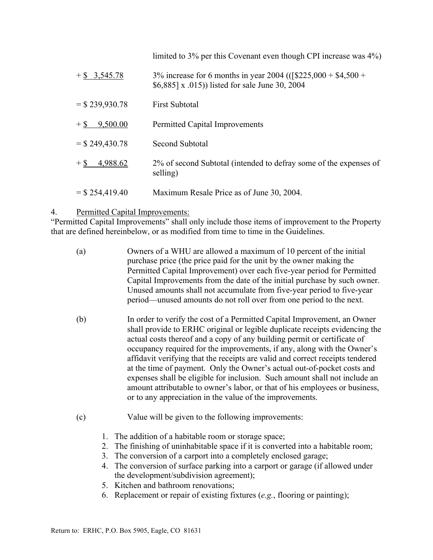limited to 3% per this Covenant even though CPI increase was 4%)

 $+$  \$ 3,545.78 3% increase for 6 months in year 2004 (( $\frac{225,000 + 44,500 +}{2}$ \$6,885] x .015)) listed for sale June 30, 2004  $=$  \$ 239,930.78 First Subtotal + \$ 9,500.00 Permitted Capital Improvements  $=$  \$ 249,430.78 Second Subtotal + \$ 4,988.62 2% of second Subtotal (intended to defray some of the expenses of selling)  $=$  \$ 254,419.40 Maximum Resale Price as of June 30, 2004.

## 4. Permitted Capital Improvements:

"Permitted Capital Improvements" shall only include those items of improvement to the Property that are defined hereinbelow, or as modified from time to time in the Guidelines.

- (a) Owners of a WHU are allowed a maximum of 10 percent of the initial purchase price (the price paid for the unit by the owner making the Permitted Capital Improvement) over each five-year period for Permitted Capital Improvements from the date of the initial purchase by such owner. Unused amounts shall not accumulate from five-year period to five-year period—unused amounts do not roll over from one period to the next.
- (b) In order to verify the cost of a Permitted Capital Improvement, an Owner shall provide to ERHC original or legible duplicate receipts evidencing the actual costs thereof and a copy of any building permit or certificate of occupancy required for the improvements, if any, along with the Owner's affidavit verifying that the receipts are valid and correct receipts tendered at the time of payment. Only the Owner's actual out-of-pocket costs and expenses shall be eligible for inclusion. Such amount shall not include an amount attributable to owner's labor, or that of his employees or business, or to any appreciation in the value of the improvements.
- (c) Value will be given to the following improvements:
	- 1. The addition of a habitable room or storage space;
	- 2. The finishing of uninhabitable space if it is converted into a habitable room;
	- 3. The conversion of a carport into a completely enclosed garage;
	- 4. The conversion of surface parking into a carport or garage (if allowed under the development/subdivision agreement);
	- 5. Kitchen and bathroom renovations;
	- 6. Replacement or repair of existing fixtures (*e.g.*, flooring or painting);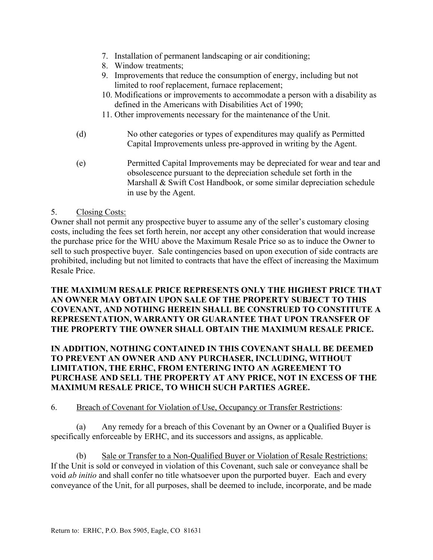- 7. Installation of permanent landscaping or air conditioning;
- 8. Window treatments;
- 9. Improvements that reduce the consumption of energy, including but not limited to roof replacement, furnace replacement;
- 10. Modifications or improvements to accommodate a person with a disability as defined in the Americans with Disabilities Act of 1990;
- 11. Other improvements necessary for the maintenance of the Unit.
- (d) No other categories or types of expenditures may qualify as Permitted Capital Improvements unless pre-approved in writing by the Agent.
- (e) Permitted Capital Improvements may be depreciated for wear and tear and obsolescence pursuant to the depreciation schedule set forth in the Marshall & Swift Cost Handbook, or some similar depreciation schedule in use by the Agent.

## 5. Closing Costs:

Owner shall not permit any prospective buyer to assume any of the seller's customary closing costs, including the fees set forth herein, nor accept any other consideration that would increase the purchase price for the WHU above the Maximum Resale Price so as to induce the Owner to sell to such prospective buyer. Sale contingencies based on upon execution of side contracts are prohibited, including but not limited to contracts that have the effect of increasing the Maximum Resale Price.

## **THE MAXIMUM RESALE PRICE REPRESENTS ONLY THE HIGHEST PRICE THAT AN OWNER MAY OBTAIN UPON SALE OF THE PROPERTY SUBJECT TO THIS COVENANT, AND NOTHING HEREIN SHALL BE CONSTRUED TO CONSTITUTE A REPRESENTATION, WARRANTY OR GUARANTEE THAT UPON TRANSFER OF THE PROPERTY THE OWNER SHALL OBTAIN THE MAXIMUM RESALE PRICE.**

## **IN ADDITION, NOTHING CONTAINED IN THIS COVENANT SHALL BE DEEMED TO PREVENT AN OWNER AND ANY PURCHASER, INCLUDING, WITHOUT LIMITATION, THE ERHC, FROM ENTERING INTO AN AGREEMENT TO PURCHASE AND SELL THE PROPERTY AT ANY PRICE, NOT IN EXCESS OF THE MAXIMUM RESALE PRICE, TO WHICH SUCH PARTIES AGREE.**

## 6. Breach of Covenant for Violation of Use, Occupancy or Transfer Restrictions:

(a) Any remedy for a breach of this Covenant by an Owner or a Qualified Buyer is specifically enforceable by ERHC, and its successors and assigns, as applicable.

(b) Sale or Transfer to a Non-Qualified Buyer or Violation of Resale Restrictions: If the Unit is sold or conveyed in violation of this Covenant, such sale or conveyance shall be void *ab initio* and shall confer no title whatsoever upon the purported buyer. Each and every conveyance of the Unit, for all purposes, shall be deemed to include, incorporate, and be made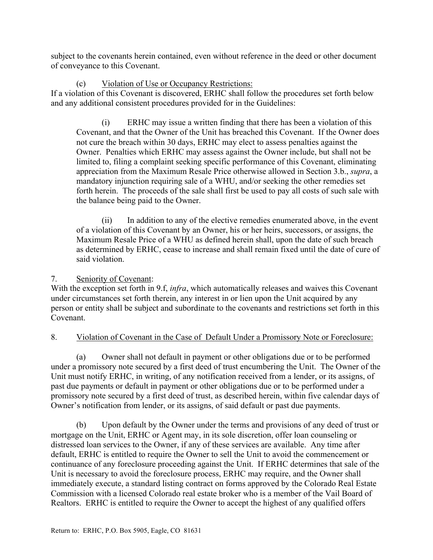subject to the covenants herein contained, even without reference in the deed or other document of conveyance to this Covenant.

(c) Violation of Use or Occupancy Restrictions:

If a violation of this Covenant is discovered, ERHC shall follow the procedures set forth below and any additional consistent procedures provided for in the Guidelines:

(i) ERHC may issue a written finding that there has been a violation of this Covenant, and that the Owner of the Unit has breached this Covenant. If the Owner does not cure the breach within 30 days, ERHC may elect to assess penalties against the Owner. Penalties which ERHC may assess against the Owner include, but shall not be limited to, filing a complaint seeking specific performance of this Covenant, eliminating appreciation from the Maximum Resale Price otherwise allowed in Section 3.b., *supra*, a mandatory injunction requiring sale of a WHU, and/or seeking the other remedies set forth herein. The proceeds of the sale shall first be used to pay all costs of such sale with the balance being paid to the Owner.

(ii) In addition to any of the elective remedies enumerated above, in the event of a violation of this Covenant by an Owner, his or her heirs, successors, or assigns, the Maximum Resale Price of a WHU as defined herein shall, upon the date of such breach as determined by ERHC, cease to increase and shall remain fixed until the date of cure of said violation.

# 7. Seniority of Covenant:

With the exception set forth in 9.f, *infra*, which automatically releases and waives this Covenant under circumstances set forth therein, any interest in or lien upon the Unit acquired by any person or entity shall be subject and subordinate to the covenants and restrictions set forth in this Covenant.

# 8. Violation of Covenant in the Case of Default Under a Promissory Note or Foreclosure:

(a) Owner shall not default in payment or other obligations due or to be performed under a promissory note secured by a first deed of trust encumbering the Unit. The Owner of the Unit must notify ERHC, in writing, of any notification received from a lender, or its assigns, of past due payments or default in payment or other obligations due or to be performed under a promissory note secured by a first deed of trust, as described herein, within five calendar days of Owner's notification from lender, or its assigns, of said default or past due payments.

(b) Upon default by the Owner under the terms and provisions of any deed of trust or mortgage on the Unit, ERHC or Agent may, in its sole discretion, offer loan counseling or distressed loan services to the Owner, if any of these services are available. Any time after default, ERHC is entitled to require the Owner to sell the Unit to avoid the commencement or continuance of any foreclosure proceeding against the Unit. If ERHC determines that sale of the Unit is necessary to avoid the foreclosure process, ERHC may require, and the Owner shall immediately execute, a standard listing contract on forms approved by the Colorado Real Estate Commission with a licensed Colorado real estate broker who is a member of the Vail Board of Realtors. ERHC is entitled to require the Owner to accept the highest of any qualified offers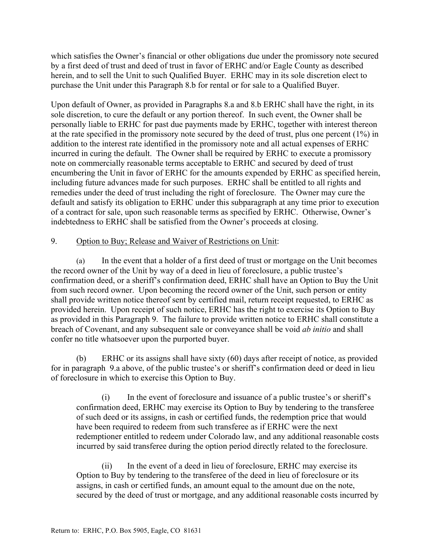which satisfies the Owner's financial or other obligations due under the promissory note secured by a first deed of trust and deed of trust in favor of ERHC and/or Eagle County as described herein, and to sell the Unit to such Qualified Buyer. ERHC may in its sole discretion elect to purchase the Unit under this Paragraph 8.b for rental or for sale to a Qualified Buyer.

Upon default of Owner, as provided in Paragraphs 8.a and 8.b ERHC shall have the right, in its sole discretion, to cure the default or any portion thereof. In such event, the Owner shall be personally liable to ERHC for past due payments made by ERHC, together with interest thereon at the rate specified in the promissory note secured by the deed of trust, plus one percent (1%) in addition to the interest rate identified in the promissory note and all actual expenses of ERHC incurred in curing the default. The Owner shall be required by ERHC to execute a promissory note on commercially reasonable terms acceptable to ERHC and secured by deed of trust encumbering the Unit in favor of ERHC for the amounts expended by ERHC as specified herein, including future advances made for such purposes. ERHC shall be entitled to all rights and remedies under the deed of trust including the right of foreclosure. The Owner may cure the default and satisfy its obligation to ERHC under this subparagraph at any time prior to execution of a contract for sale, upon such reasonable terms as specified by ERHC. Otherwise, Owner's indebtedness to ERHC shall be satisfied from the Owner's proceeds at closing.

## 9. Option to Buy; Release and Waiver of Restrictions on Unit:

(a) In the event that a holder of a first deed of trust or mortgage on the Unit becomes the record owner of the Unit by way of a deed in lieu of foreclosure, a public trustee's confirmation deed, or a sheriff's confirmation deed, ERHC shall have an Option to Buy the Unit from such record owner. Upon becoming the record owner of the Unit, such person or entity shall provide written notice thereof sent by certified mail, return receipt requested, to ERHC as provided herein. Upon receipt of such notice, ERHC has the right to exercise its Option to Buy as provided in this Paragraph 9. The failure to provide written notice to ERHC shall constitute a breach of Covenant, and any subsequent sale or conveyance shall be void *ab initio* and shall confer no title whatsoever upon the purported buyer.

(b) ERHC or its assigns shall have sixty (60) days after receipt of notice, as provided for in paragraph 9.a above, of the public trustee's or sheriff's confirmation deed or deed in lieu of foreclosure in which to exercise this Option to Buy.

(i) In the event of foreclosure and issuance of a public trustee's or sheriff's confirmation deed, ERHC may exercise its Option to Buy by tendering to the transferee of such deed or its assigns, in cash or certified funds, the redemption price that would have been required to redeem from such transferee as if ERHC were the next redemptioner entitled to redeem under Colorado law, and any additional reasonable costs incurred by said transferee during the option period directly related to the foreclosure.

(ii) In the event of a deed in lieu of foreclosure, ERHC may exercise its Option to Buy by tendering to the transferee of the deed in lieu of foreclosure or its assigns, in cash or certified funds, an amount equal to the amount due on the note, secured by the deed of trust or mortgage, and any additional reasonable costs incurred by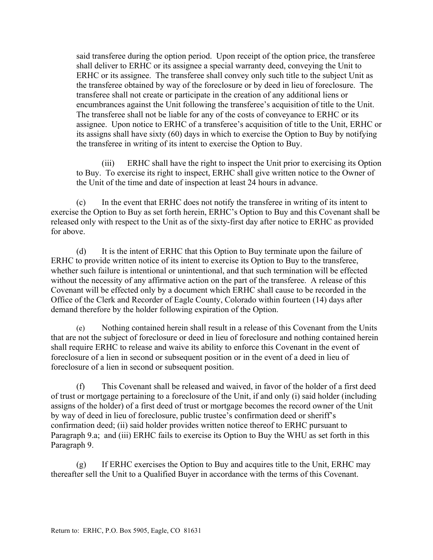said transferee during the option period. Upon receipt of the option price, the transferee shall deliver to ERHC or its assignee a special warranty deed, conveying the Unit to ERHC or its assignee. The transferee shall convey only such title to the subject Unit as the transferee obtained by way of the foreclosure or by deed in lieu of foreclosure. The transferee shall not create or participate in the creation of any additional liens or encumbrances against the Unit following the transferee's acquisition of title to the Unit. The transferee shall not be liable for any of the costs of conveyance to ERHC or its assignee. Upon notice to ERHC of a transferee's acquisition of title to the Unit, ERHC or its assigns shall have sixty (60) days in which to exercise the Option to Buy by notifying the transferee in writing of its intent to exercise the Option to Buy.

(iii) ERHC shall have the right to inspect the Unit prior to exercising its Option to Buy. To exercise its right to inspect, ERHC shall give written notice to the Owner of the Unit of the time and date of inspection at least 24 hours in advance.

(c) In the event that ERHC does not notify the transferee in writing of its intent to exercise the Option to Buy as set forth herein, ERHC's Option to Buy and this Covenant shall be released only with respect to the Unit as of the sixty-first day after notice to ERHC as provided for above.

(d) It is the intent of ERHC that this Option to Buy terminate upon the failure of ERHC to provide written notice of its intent to exercise its Option to Buy to the transferee, whether such failure is intentional or unintentional, and that such termination will be effected without the necessity of any affirmative action on the part of the transferee. A release of this Covenant will be effected only by a document which ERHC shall cause to be recorded in the Office of the Clerk and Recorder of Eagle County, Colorado within fourteen (14) days after demand therefore by the holder following expiration of the Option.

(e) Nothing contained herein shall result in a release of this Covenant from the Units that are not the subject of foreclosure or deed in lieu of foreclosure and nothing contained herein shall require ERHC to release and waive its ability to enforce this Covenant in the event of foreclosure of a lien in second or subsequent position or in the event of a deed in lieu of foreclosure of a lien in second or subsequent position.

(f) This Covenant shall be released and waived, in favor of the holder of a first deed of trust or mortgage pertaining to a foreclosure of the Unit, if and only (i) said holder (including assigns of the holder) of a first deed of trust or mortgage becomes the record owner of the Unit by way of deed in lieu of foreclosure, public trustee's confirmation deed or sheriff's confirmation deed; (ii) said holder provides written notice thereof to ERHC pursuant to Paragraph 9.a; and (iii) ERHC fails to exercise its Option to Buy the WHU as set forth in this Paragraph 9.

(g) If ERHC exercises the Option to Buy and acquires title to the Unit, ERHC may thereafter sell the Unit to a Qualified Buyer in accordance with the terms of this Covenant.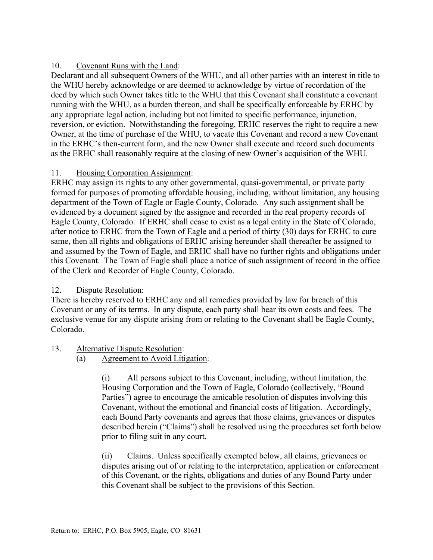## 10. Covenant Runs with the Land:

Declarant and all subsequent Owners of the WHU, and all other parties with an interest in title to the WHU hereby acknowledge or are deemed to acknowledge by virtue of recordation of the deed by which such Owner takes title to the WHU that this Covenant shall constitute a covenant running with the WHU, as a burden thereon, and shall be specifically enforceable by ERHC by any appropriate legal action, including but not limited to specific performance, injunction, reversion, or eviction. Notwithstanding the foregoing, ERHC reserves the right to require a new Owner, at the time of purchase of the WHU, to vacate this Covenant and record a new Covenant in the ERHC's then-current form, and the new Owner shall execute and record such documents as the ERHC shall reasonably require at the closing of new Owner's acquisition of the WHU.

## 11. Housing Corporation Assignment:

ERHC may assign its rights to any other governmental, quasi-governmental, or private party formed for purposes of promoting affordable housing, including, without limitation, any housing department of the Town of Eagle or Eagle County, Colorado. Any such assignment shall be evidenced by a document signed by the assignee and recorded in the real property records of Eagle County, Colorado. If ERHC shall cease to exist as a legal entity in the State of Colorado, after notice to ERHC from the Town of Eagle and a period of thirty (30) days for ERHC to cure same, then all rights and obligations of ERHC arising hereunder shall thereafter be assigned to and assumed by the Town of Eagle, and ERHC shall have no further rights and obligations under this Covenant. The Town of Eagle shall place a notice of such assignment of record in the office of the Clerk and Recorder of Eagle County, Colorado.

## 12. Dispute Resolution:

There is hereby reserved to ERHC any and all remedies provided by law for breach of this Covenant or any of its terms. In any dispute, each party shall bear its own costs and fees. The exclusive venue for any dispute arising from or relating to the Covenant shall be Eagle County, Colorado.

# 13. Alternative Dispute Resolution:

(a) Agreement to Avoid Litigation:

(i) All persons subject to this Covenant, including, without limitation, the Housing Corporation and the Town of Eagle, Colorado (collectively, "Bound Parties") agree to encourage the amicable resolution of disputes involving this Covenant, without the emotional and financial costs of litigation. Accordingly, each Bound Party covenants and agrees that those claims, grievances or disputes described herein ("Claims") shall be resolved using the procedures set forth below prior to filing suit in any court.

(ii) Claims. Unless specifically exempted below, all claims, grievances or disputes arising out of or relating to the interpretation, application or enforcement of this Covenant, or the rights, obligations and duties of any Bound Party under this Covenant shall be subject to the provisions of this Section.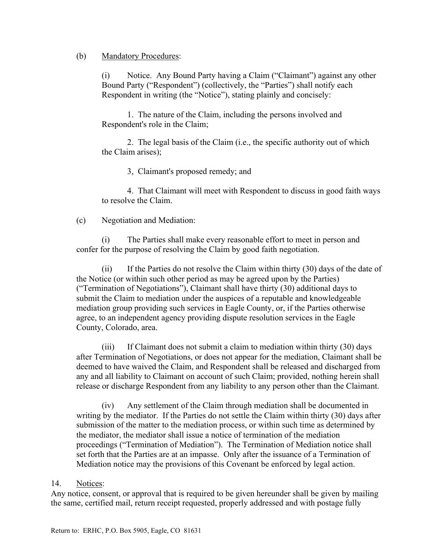#### (b) Mandatory Procedures:

(i) Notice. Any Bound Party having a Claim ("Claimant") against any other Bound Party ("Respondent") (collectively, the "Parties") shall notify each Respondent in writing (the "Notice"), stating plainly and concisely:

1. The nature of the Claim, including the persons involved and Respondent's role in the Claim;

2. The legal basis of the Claim (i.e., the specific authority out of which the Claim arises);

3, Claimant's proposed remedy; and

4. That Claimant will meet with Respondent to discuss in good faith ways to resolve the Claim.

(c) Negotiation and Mediation:

(i) The Parties shall make every reasonable effort to meet in person and confer for the purpose of resolving the Claim by good faith negotiation.

(ii) If the Parties do not resolve the Claim within thirty (30) days of the date of the Notice (or within such other period as may be agreed upon by the Parties) ("Termination of Negotiations"), Claimant shall have thirty (30) additional days to submit the Claim to mediation under the auspices of a reputable and knowledgeable mediation group providing such services in Eagle County, or, if the Parties otherwise agree, to an independent agency providing dispute resolution services in the Eagle County, Colorado, area.

(iii) If Claimant does not submit a claim to mediation within thirty (30) days after Termination of Negotiations, or does not appear for the mediation, Claimant shall be deemed to have waived the Claim, and Respondent shall be released and discharged from any and all liability to Claimant on account of such Claim; provided, nothing herein shall release or discharge Respondent from any liability to any person other than the Claimant.

(iv) Any settlement of the Claim through mediation shall be documented in writing by the mediator. If the Parties do not settle the Claim within thirty (30) days after submission of the matter to the mediation process, or within such time as determined by the mediator, the mediator shall issue a notice of termination of the mediation proceedings ("Termination of Mediation"). The Termination of Mediation notice shall set forth that the Parties are at an impasse. Only after the issuance of a Termination of Mediation notice may the provisions of this Covenant be enforced by legal action.

## 14. Notices:

Any notice, consent, or approval that is required to be given hereunder shall be given by mailing the same, certified mail, return receipt requested, properly addressed and with postage fully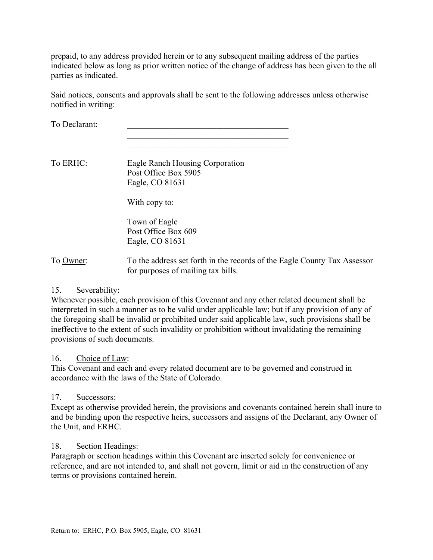prepaid, to any address provided herein or to any subsequent mailing address of the parties indicated below as long as prior written notice of the change of address has been given to the all parties as indicated.

Said notices, consents and approvals shall be sent to the following addresses unless otherwise notified in writing:

 $\mathcal{L}_\text{max}$  and  $\mathcal{L}_\text{max}$  and  $\mathcal{L}_\text{max}$  and  $\mathcal{L}_\text{max}$ 

To Declarant:

To ERHC: Eagle Ranch Housing Corporation Post Office Box 5905 Eagle, CO 81631

With copy to:

Town of Eagle Post Office Box 609 Eagle, CO 81631

To Owner: To the address set forth in the records of the Eagle County Tax Assessor for purposes of mailing tax bills.

## 15. Severability:

Whenever possible, each provision of this Covenant and any other related document shall be interpreted in such a manner as to be valid under applicable law; but if any provision of any of the foregoing shall be invalid or prohibited under said applicable law, such provisions shall be ineffective to the extent of such invalidity or prohibition without invalidating the remaining provisions of such documents.

#### 16. Choice of Law:

This Covenant and each and every related document are to be governed and construed in accordance with the laws of the State of Colorado.

#### 17. Successors:

Except as otherwise provided herein, the provisions and covenants contained herein shall inure to and be binding upon the respective heirs, successors and assigns of the Declarant, any Owner of the Unit, and ERHC.

#### 18. Section Headings:

Paragraph or section headings within this Covenant are inserted solely for convenience or reference, and are not intended to, and shall not govern, limit or aid in the construction of any terms or provisions contained herein.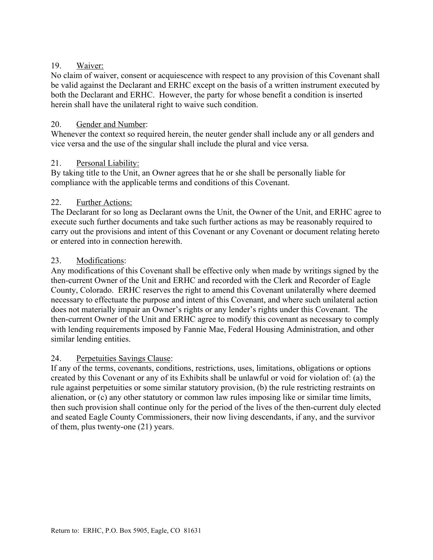## 19. Waiver:

No claim of waiver, consent or acquiescence with respect to any provision of this Covenant shall be valid against the Declarant and ERHC except on the basis of a written instrument executed by both the Declarant and ERHC. However, the party for whose benefit a condition is inserted herein shall have the unilateral right to waive such condition.

## 20. Gender and Number:

Whenever the context so required herein, the neuter gender shall include any or all genders and vice versa and the use of the singular shall include the plural and vice versa.

## 21. Personal Liability:

By taking title to the Unit, an Owner agrees that he or she shall be personally liable for compliance with the applicable terms and conditions of this Covenant.

## 22. Further Actions:

The Declarant for so long as Declarant owns the Unit, the Owner of the Unit, and ERHC agree to execute such further documents and take such further actions as may be reasonably required to carry out the provisions and intent of this Covenant or any Covenant or document relating hereto or entered into in connection herewith.

## 23. Modifications:

Any modifications of this Covenant shall be effective only when made by writings signed by the then-current Owner of the Unit and ERHC and recorded with the Clerk and Recorder of Eagle County, Colorado. ERHC reserves the right to amend this Covenant unilaterally where deemed necessary to effectuate the purpose and intent of this Covenant, and where such unilateral action does not materially impair an Owner's rights or any lender's rights under this Covenant. The then-current Owner of the Unit and ERHC agree to modify this covenant as necessary to comply with lending requirements imposed by Fannie Mae, Federal Housing Administration, and other similar lending entities.

# 24. Perpetuities Savings Clause:

If any of the terms, covenants, conditions, restrictions, uses, limitations, obligations or options created by this Covenant or any of its Exhibits shall be unlawful or void for violation of: (a) the rule against perpetuities or some similar statutory provision, (b) the rule restricting restraints on alienation, or (c) any other statutory or common law rules imposing like or similar time limits, then such provision shall continue only for the period of the lives of the then-current duly elected and seated Eagle County Commissioners, their now living descendants, if any, and the survivor of them, plus twenty-one (21) years.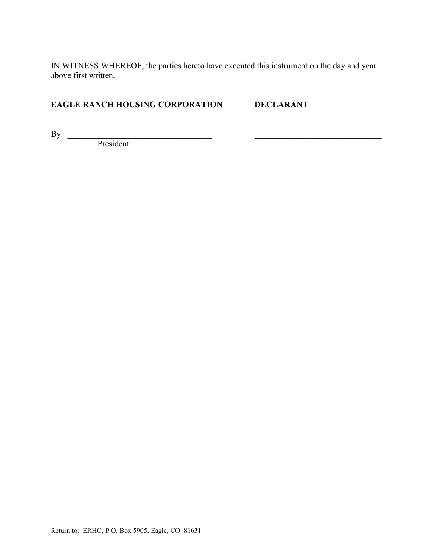IN WITNESS WHEREOF, the parties hereto have executed this instrument on the day and year above first written.

# **EAGLE RANCH HOUSING CORPORATION DECLARANT**

By:  $\Box$ 

President